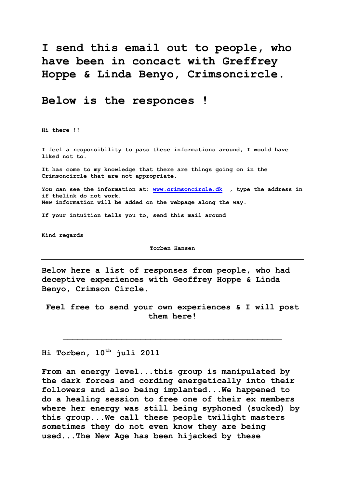**I send this email out to people, who have been in concact with Greffrey Hoppe & Linda Benyo, Crimsoncircle.**

# **Below is the responces !**

**Hi there !!**

**I feel a responsibility to pass these informations around, I would have liked not to.**

**It has come to my knowledge that there are things going on in the Crimsoncircle that are not appropriate.**

**You can see the information at: [www.crimsoncircle.dk](http://www.crimsoncircle.dk/) , type the address in if thelink do not work. New information will be added on the webpage along the way.** 

**If your intuition tells you to, send this mail around** 

**Kind regards**

**Torben Hansen**

**Below here a list of responses from people, who had deceptive experiences with Geoffrey Hoppe & Linda Benyo, Crimson Circle.**

**Feel free to send your own experiences & I will post them here!**

 $\mathcal{L} = \{ \mathcal{L} \mid \mathcal{L} \in \mathcal{L} \}$ 

**Hi Torben, 10th juli 2011**

**From an energy level...this group is manipulated by the dark forces and cording energetically into their followers and also being implanted...We happened to do a healing session to free one of their ex members where her energy was still being syphoned (sucked) by this group...We call these people twilight masters sometimes they do not even know they are being used...The New Age has been hijacked by these**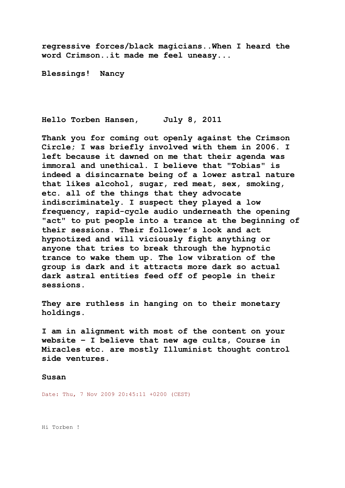**regressive forces/black magicians..When I heard the word Crimson..it made me feel uneasy...**

**Blessings! Nancy**

**Hello Torben Hansen, July 8, 2011**

**Thank you for coming out openly against the Crimson Circle; I was briefly involved with them in 2006. I left because it dawned on me that their agenda was immoral and unethical. I believe that "Tobias" is indeed a disincarnate being of a lower astral nature that likes alcohol, sugar, red meat, sex, smoking, etc. all of the things that they advocate indiscriminately. I suspect they played a low frequency, rapid-cycle audio underneath the opening "act" to put people into a trance at the beginning of their sessions. Their follower's look and act hypnotized and will viciously fight anything or anyone that tries to break through the hypnotic trance to wake them up. The low vibration of the group is dark and it attracts more dark so actual dark astral entities feed off of people in their sessions.**

**They are ruthless in hanging on to their monetary holdings.**

**I am in alignment with most of the content on your website – I believe that new age cults, Course in Miracles etc. are mostly Illuminist thought control side ventures.**

## **Susan**

Date: Thu, 7 Nov 2009 20:45:11 +0200 (CEST)

Hi Torben !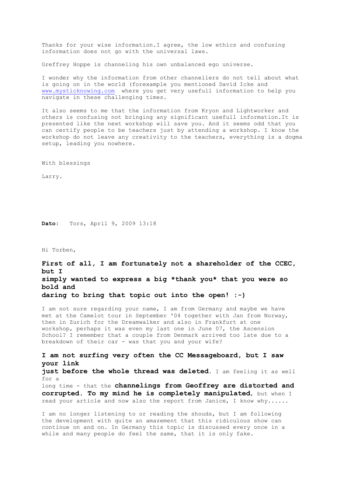Thanks for your wise information.I agree, the low ethics and confusing information does not go with the universal laws.

Greffrey Hoppe is channeling his own unbalanced ego universe.

I wonder why the information from other channellers do not tell about what is going on in the world (forexample you mentioned David Icke and [www.mysticknowing.com](http://www.mysticknowing.com/) where you get very usefull information to help you navigate in these challenging times.

It also seems to me that the information from Kryon and Lightworker and others is confusing not bringing any significant usefull information.It is presented like the next workshop will save you. And it seems odd that you can certify people to be teachers just by attending a workshop. I know the workshop do not leave any creativity to the teachers, everything is a dogma setup, leading you nowhere.

With blessings

Larry.

**Dato:** Tors, April 9, 2009 13:18

Hi Torben,

**First of all, I am fortunately not a shareholder of the CCEC, but I simply wanted to express a big \*thank you\* that you were so bold and daring to bring that topic out into the open! :-)**

I am not sure regarding your name, I am from Germany and maybe we have met at the Camelot tour in September '04 together with Jan from Norway, then in Zurich for the Dreamwalker and also in Frankfurt at one workshop, perhaps it was even my last one in June 07, the Ascension School? I remember that a couple from Denmark arrived too late due to a breakdown of their car - was that you and your wife?

**I am not surfing very often the CC Messageboard, but I saw your link just before the whole thread was deleted**. I am feeling it as well for a long time - that the **channelings from Geoffrey are distorted and corrupted. To my mind he is completely manipulated**, but when I read your article and now also the report from Janice, I know why......

I am no longer listening to or reading the shouds, but I am following the development with quite an amazement that this ridiculous show can continue on and on. In Germany this topic is discussed every once in a while and many people do feel the same, that it is only fake.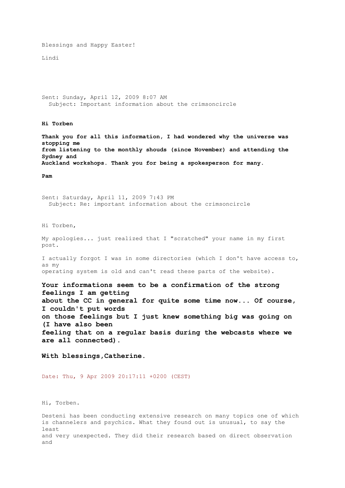Blessings and Happy Easter!

Lindi

Sent: Sunday, April 12, 2009 8:07 AM Subject: Important information about the crimsoncircle

**Hi Torben**

**Thank you for all this information, I had wondered why the universe was stopping me from listening to the monthly shouds (since November) and attending the Sydney and Auckland workshops. Thank you for being a spokesperson for many.**

**Pam**

Sent: Saturday, April 11, 2009 7:43 PM Subject: Re: important information about the crimsoncircle

Hi Torben,

My apologies... just realized that I "scratched" your name in my first post.

I actually forgot I was in some directories (which I don't have access to, as my operating system is old and can't read these parts of the website).

**Your informations seem to be a confirmation of the strong feelings I am getting about the CC in general for quite some time now... Of course, I couldn't put words on those feelings but I just knew something big was going on (I have also been feeling that on a regular basis during the webcasts where we are all connected).**

**With blessings,Catherine.**

Date: Thu, 9 Apr 2009 20:17:11 +0200 (CEST)

Hi, Torben.

Desteni has been conducting extensive research on many topics one of which is channelers and psychics. What they found out is unusual, to say the least and very unexpected. They did their research based on direct observation and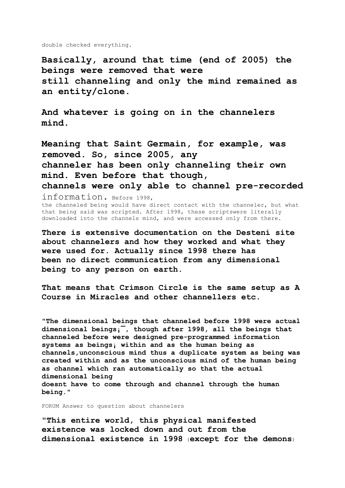double checked everything.

**Basically, around that time (end of 2005) the beings were removed that were still channeling and only the mind remained as an entity/clone.**

**And whatever is going on in the channelers mind.**

**Meaning that Saint Germain, for example, was removed. So, since 2005, any channeler has been only channeling their own mind. Even before that though, channels were only able to channel pre-recorded** information. Before 1998, the channeled being would have direct contact with the channeler, but what that being said was scripted. After 1998, these scriptswere literally downloaded into the channels mind, and were accessed only from there.

**There is extensive documentation on the Desteni site about channelers and how they worked and what they were used for. Actually since 1998 there has been no direct communication from any dimensional being to any person on earth.** 

**That means that Crimson Circle is the same setup as A Course in Miracles and other channellers etc.** 

**"The dimensional beings that channeled before 1998 were actual dimensional beings¡¯, though after 1998, all the beings that channeled before were designed pre-programmed information systems as beings¡ within and as the human being as channels,unconscious mind thus a duplicate system as being was created within and as the unconscious mind of the human being as channel which ran automatically so that the actual dimensional being doesnt have to come through and channel through the human being."**

FORUM Answer to question about channelers

**"This entire world, this physical manifested existence was locked down and out from the dimensional existence in 1998** (**except for the demons**)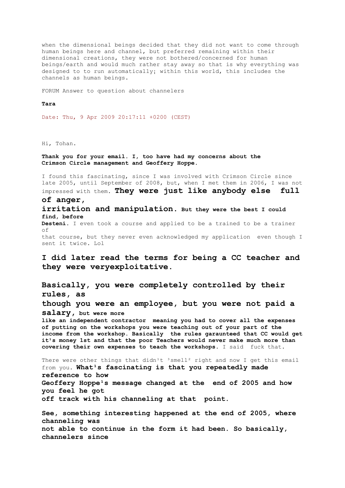when the dimensional beings decided that they did not want to come through human beings here and channel, but preferred remaining within their dimensional creations, they were not bothered/concerned for human beings/earth and would much rather stay away so that is why everything was designed to to run automatically; within this world, this includes the channels as human beings.

FORUM Answer to question about channelers

### **Tara**

Date: Thu, 9 Apr 2009 20:17:11 +0200 (CEST)

Hi, Tohan.

**Thank you for your email. I, too have had my concerns about the Crimson Circle management and Geoffery Hoppe.**

I found this fascinating, since I was involved with Crimson Circle since late 2005, until September of 2008, but, when I met them in 2006, I was not impressed with them. **They were just like anybody else full of anger,**

**irritation and manipulation. But they were the best I could find, before** Desteni. I even took a course and applied to be a trained to be a trainer of that course, but they never even acknowledged my application even though I

sent it twice. Lol

**I did later read the terms for being a CC teacher and they were veryexploitative.**

**Basically, you were completely controlled by their rules, as though you were an employee, but you were not paid a salary, but were more like an independent contractor meaning you had to cover all the expenses of putting on the workshops you were teaching out of your part of the income from the workshop. Basically the rules garaunteed that CC would get**  it<sup>1</sup>s money 1st and that the poor Teachers would never make much more than **covering their own expenses to teach the workshops**. I said fuck that. There were other things that didn<sup>1</sup>t <sup>3</sup>smell<sup>2</sup> right and now I get this email from you. What<sup>1</sup>s fascinating is that you repeatedly made **reference to how** Geoffery Hoppe<sup>1</sup>s message changed at the end of 2005 and how **you feel he got off track with his channeling at that point.**

**See, something interesting happened at the end of 2005, where channeling was not able to continue in the form it had been. So basically, channelers since**